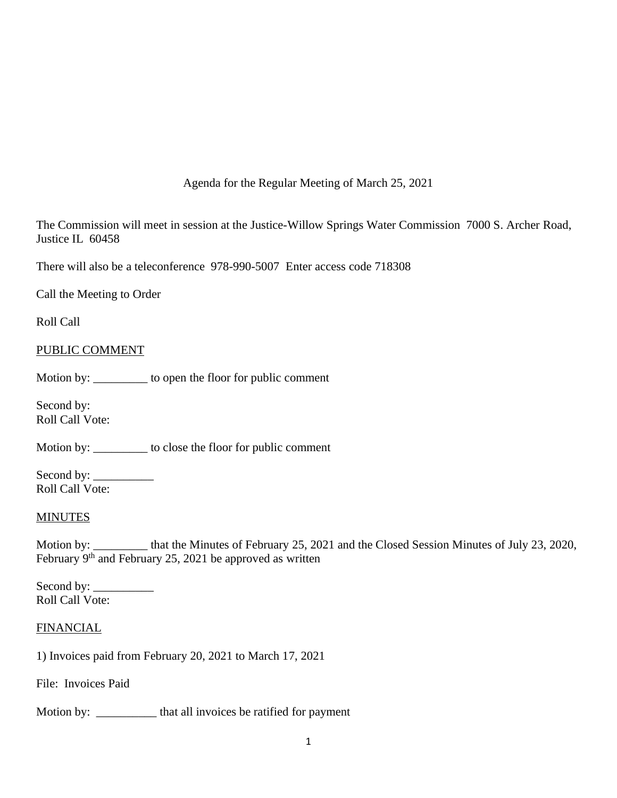Agenda for the Regular Meeting of March 25, 2021

The Commission will meet in session at the Justice-Willow Springs Water Commission 7000 S. Archer Road, Justice IL 60458

There will also be a teleconference 978-990-5007 Enter access code 718308

Call the Meeting to Order

Roll Call

## PUBLIC COMMENT

Motion by: \_\_\_\_\_\_\_\_\_ to open the floor for public comment

Second by: Roll Call Vote:

Motion by: \_\_\_\_\_\_\_\_\_ to close the floor for public comment

Second by: \_\_\_\_\_\_\_\_\_\_ Roll Call Vote:

#### **MINUTES**

Motion by: \_\_\_\_\_\_\_\_\_ that the Minutes of February 25, 2021 and the Closed Session Minutes of July 23, 2020, February 9<sup>th</sup> and February 25, 2021 be approved as written

Second by: \_\_\_\_\_\_\_\_\_\_ Roll Call Vote:

#### FINANCIAL

1) Invoices paid from February 20, 2021 to March 17, 2021

File: Invoices Paid

Motion by: \_\_\_\_\_\_\_\_\_\_\_ that all invoices be ratified for payment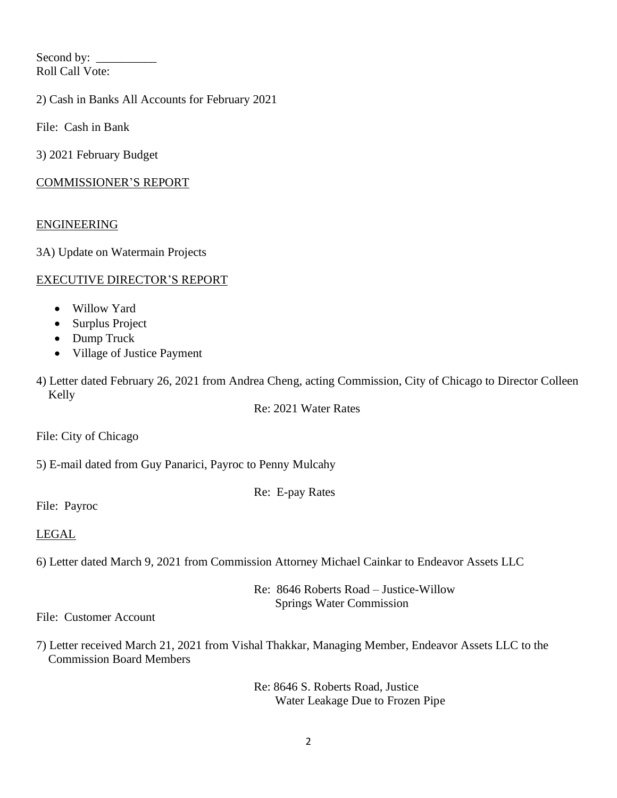Second by: \_\_\_\_\_\_\_\_\_\_ Roll Call Vote:

2) Cash in Banks All Accounts for February 2021

File: Cash in Bank

3) 2021 February Budget

# COMMISSIONER'S REPORT

# ENGINEERING

3A) Update on Watermain Projects

# EXECUTIVE DIRECTOR'S REPORT

- Willow Yard
- Surplus Project
- Dump Truck
- Village of Justice Payment

4) Letter dated February 26, 2021 from Andrea Cheng, acting Commission, City of Chicago to Director Colleen Kelly

Re: 2021 Water Rates

File: City of Chicago

5) E-mail dated from Guy Panarici, Payroc to Penny Mulcahy

Re: E-pay Rates

File: Payroc

## LEGAL

6) Letter dated March 9, 2021 from Commission Attorney Michael Cainkar to Endeavor Assets LLC

Re: 8646 Roberts Road – Justice-Willow Springs Water Commission

File: Customer Account

7) Letter received March 21, 2021 from Vishal Thakkar, Managing Member, Endeavor Assets LLC to the Commission Board Members

> Re: 8646 S. Roberts Road, Justice Water Leakage Due to Frozen Pipe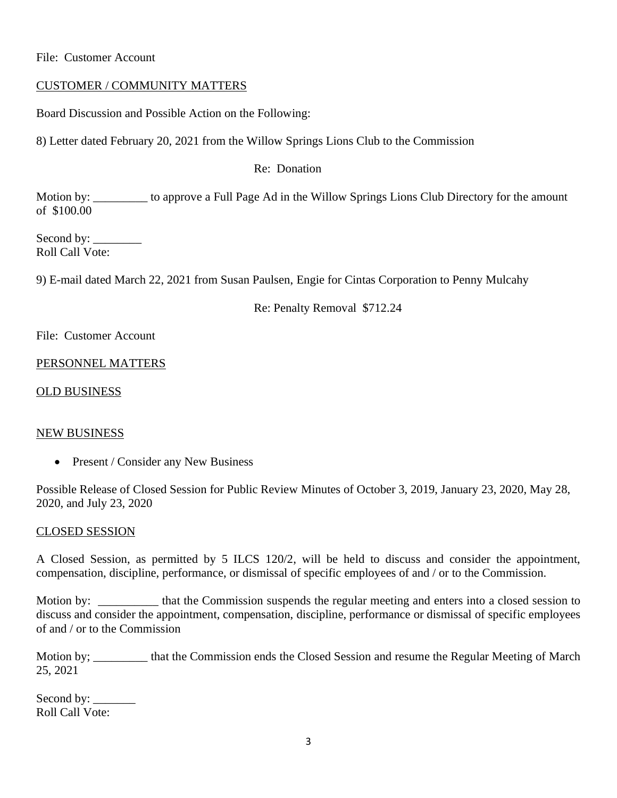File: Customer Account

## CUSTOMER / COMMUNITY MATTERS

Board Discussion and Possible Action on the Following:

8) Letter dated February 20, 2021 from the Willow Springs Lions Club to the Commission

Re: Donation

Motion by: \_\_\_\_\_\_\_\_\_ to approve a Full Page Ad in the Willow Springs Lions Club Directory for the amount of \$100.00

Second by: Roll Call Vote:

9) E-mail dated March 22, 2021 from Susan Paulsen, Engie for Cintas Corporation to Penny Mulcahy

Re: Penalty Removal \$712.24

File: Customer Account

## PERSONNEL MATTERS

OLD BUSINESS

## NEW BUSINESS

• Present / Consider any New Business

Possible Release of Closed Session for Public Review Minutes of October 3, 2019, January 23, 2020, May 28, 2020, and July 23, 2020

## CLOSED SESSION

A Closed Session, as permitted by 5 ILCS 120/2, will be held to discuss and consider the appointment, compensation, discipline, performance, or dismissal of specific employees of and / or to the Commission.

Motion by: \_\_\_\_\_\_\_\_\_\_\_ that the Commission suspends the regular meeting and enters into a closed session to discuss and consider the appointment, compensation, discipline, performance or dismissal of specific employees of and / or to the Commission

Motion by; \_\_\_\_\_\_\_\_\_ that the Commission ends the Closed Session and resume the Regular Meeting of March 25, 2021

Second by: Roll Call Vote: